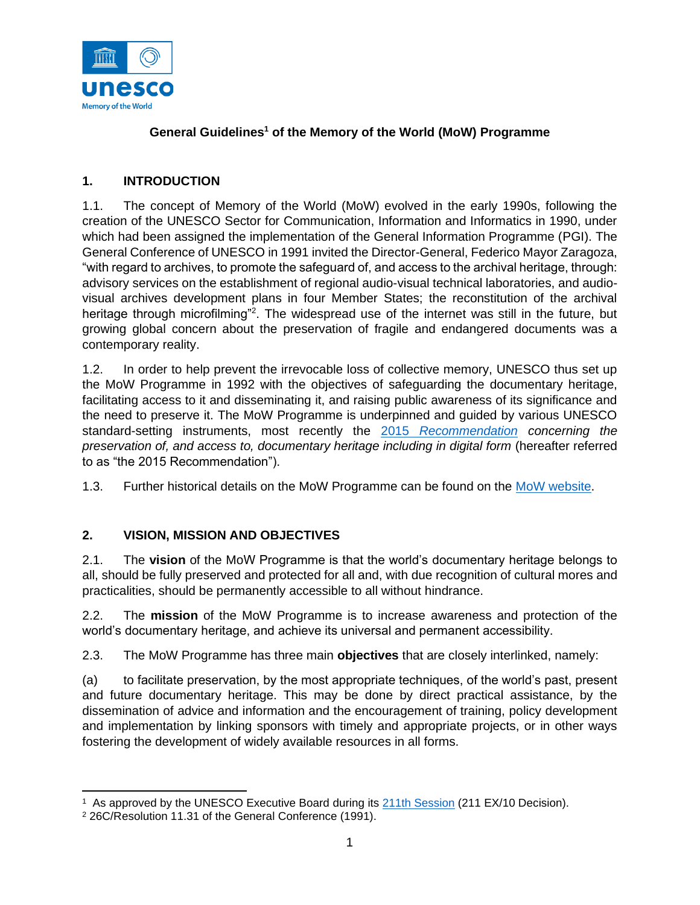

## **General Guidelines<sup>1</sup> of the Memory of the World (MoW) Programme**

# **1. INTRODUCTION**

1.1. The concept of Memory of the World (MoW) evolved in the early 1990s, following the creation of the UNESCO Sector for Communication, Information and Informatics in 1990, under which had been assigned the implementation of the General Information Programme (PGI). The General Conference of UNESCO in 1991 invited the Director-General, Federico Mayor Zaragoza, "with regard to archives, to promote the safeguard of, and access to the archival heritage, through: advisory services on the establishment of regional audio-visual technical laboratories, and audiovisual archives development plans in four Member States; the reconstitution of the archival heritage through microfilming"<sup>2</sup>. The widespread use of the internet was still in the future, but growing global concern about the preservation of fragile and endangered documents was a contemporary reality.

1.2. In order to help prevent the irrevocable loss of collective memory, UNESCO thus set up the MoW Programme in 1992 with the objectives of safeguarding the documentary heritage, facilitating access to it and disseminating it, and raising public awareness of its significance and the need to preserve it. The MoW Programme is underpinned and guided by various UNESCO standard-setting instruments, most recently the 2015 *[Recommendation](http://portal.unesco.org/en/ev.php-URL_ID=49358&URL_DO=DO_TOPIC&URL_SECTION=201.html) concerning the preservation of, and access to, documentary heritage including in digital form* (hereafter referred to as "the 2015 Recommendation").

1.3. Further historical details on the MoW Programme can be found on the [MoW website.](https://en.unesco.org/programme/mow)

# **2. VISION, MISSION AND OBJECTIVES**

2.1. The **vision** of the MoW Programme is that the world's documentary heritage belongs to all, should be fully preserved and protected for all and, with due recognition of cultural mores and practicalities, should be permanently accessible to all without hindrance.

2.2. The **mission** of the MoW Programme is to increase awareness and protection of the world's documentary heritage, and achieve its universal and permanent accessibility.

2.3. The MoW Programme has three main **objectives** that are closely interlinked, namely:

(a) to facilitate preservation, by the most appropriate techniques, of the world's past, present and future documentary heritage. This may be done by direct practical assistance, by the dissemination of advice and information and the encouragement of training, policy development and implementation by linking sponsors with timely and appropriate projects, or in other ways fostering the development of widely available resources in all forms.

<sup>&</sup>lt;sup>1</sup> As approved by the UNESCO Executive Board during its [211th Session](https://unesdoc.unesco.org/ark:/48223/pf0000377290) (211 EX/10 Decision).

<sup>2</sup> 26C/Resolution 11.31 of the General Conference (1991).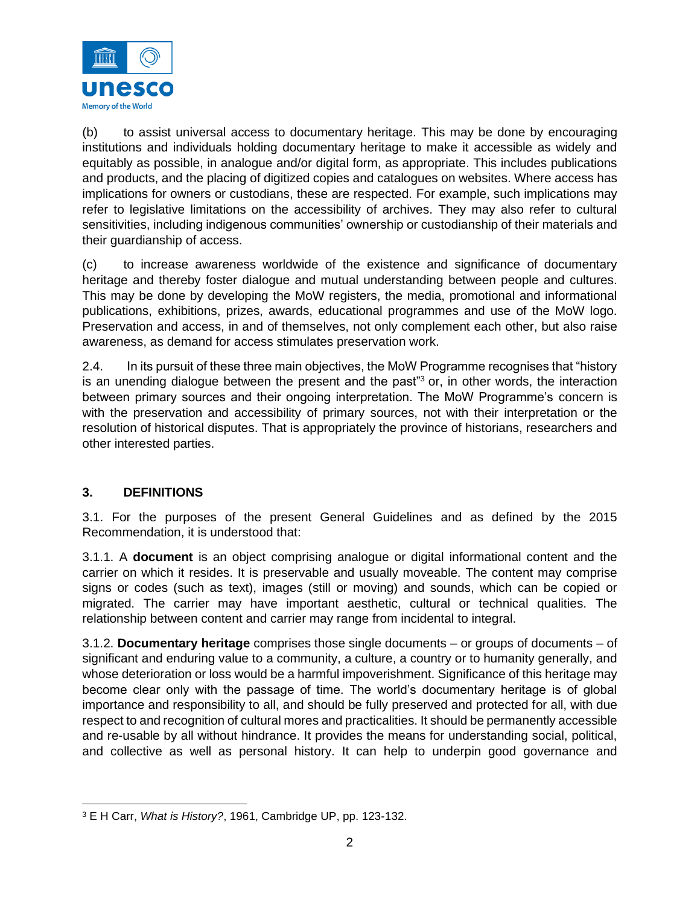

(b) to assist universal access to documentary heritage. This may be done by encouraging institutions and individuals holding documentary heritage to make it accessible as widely and equitably as possible, in analogue and/or digital form, as appropriate. This includes publications and products, and the placing of digitized copies and catalogues on websites. Where access has implications for owners or custodians, these are respected. For example, such implications may refer to legislative limitations on the accessibility of archives. They may also refer to cultural sensitivities, including indigenous communities' ownership or custodianship of their materials and their guardianship of access.

(c) to increase awareness worldwide of the existence and significance of documentary heritage and thereby foster dialogue and mutual understanding between people and cultures. This may be done by developing the MoW registers, the media, promotional and informational publications, exhibitions, prizes, awards, educational programmes and use of the MoW logo. Preservation and access, in and of themselves, not only complement each other, but also raise awareness, as demand for access stimulates preservation work.

2.4. In its pursuit of these three main objectives, the MoW Programme recognises that "history is an unending dialogue between the present and the past<sup>33</sup> or, in other words, the interaction between primary sources and their ongoing interpretation. The MoW Programme's concern is with the preservation and accessibility of primary sources, not with their interpretation or the resolution of historical disputes. That is appropriately the province of historians, researchers and other interested parties.

## **3. DEFINITIONS**

3.1. For the purposes of the present General Guidelines and as defined by the 2015 Recommendation, it is understood that:

3.1.1. A **document** is an object comprising analogue or digital informational content and the carrier on which it resides. It is preservable and usually moveable. The content may comprise signs or codes (such as text), images (still or moving) and sounds, which can be copied or migrated. The carrier may have important aesthetic, cultural or technical qualities. The relationship between content and carrier may range from incidental to integral.

3.1.2. **Documentary heritage** comprises those single documents – or groups of documents – of significant and enduring value to a community, a culture, a country or to humanity generally, and whose deterioration or loss would be a harmful impoverishment. Significance of this heritage may become clear only with the passage of time. The world's documentary heritage is of global importance and responsibility to all, and should be fully preserved and protected for all, with due respect to and recognition of cultural mores and practicalities. It should be permanently accessible and re-usable by all without hindrance. It provides the means for understanding social, political, and collective as well as personal history. It can help to underpin good governance and

<sup>3</sup> E H Carr, *What is History?*, 1961, Cambridge UP, pp. 123-132.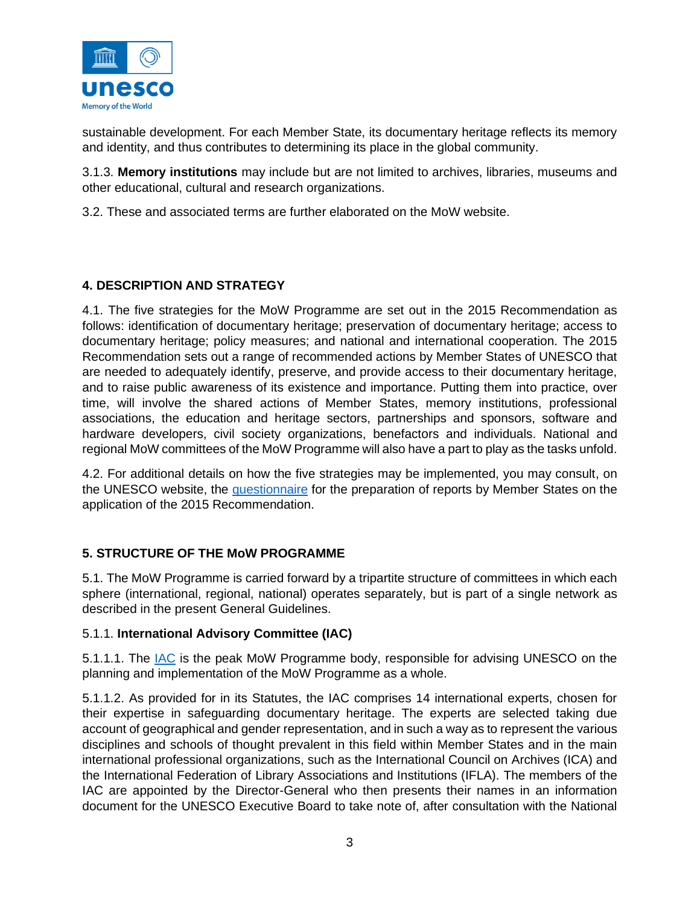

sustainable development. For each Member State, its documentary heritage reflects its memory and identity, and thus contributes to determining its place in the global community.

3.1.3. **Memory institutions** may include but are not limited to archives, libraries, museums and other educational, cultural and research organizations.

3.2. These and associated terms are further elaborated on the MoW website.

# **4. DESCRIPTION AND STRATEGY**

4.1. The five strategies for the MoW Programme are set out in the 2015 Recommendation as follows: identification of documentary heritage; preservation of documentary heritage; access to documentary heritage; policy measures; and national and international cooperation. The 2015 Recommendation sets out a range of recommended actions by Member States of UNESCO that are needed to adequately identify, preserve, and provide access to their documentary heritage, and to raise public awareness of its existence and importance. Putting them into practice, over time, will involve the shared actions of Member States, memory institutions, professional associations, the education and heritage sectors, partnerships and sponsors, software and hardware developers, civil society organizations, benefactors and individuals. National and regional MoW committees of the MoW Programme will also have a part to play as the tasks unfold.

4.2. For additional details on how the five strategies may be implemented, you may consult, on the UNESCO website, the [questionnaire](https://unesdoc.unesco.org/ark:/48223/pf0000265558) for the preparation of reports by Member States on the application of the 2015 Recommendation.

## **5. STRUCTURE OF THE MoW PROGRAMME**

5.1. The MoW Programme is carried forward by a tripartite structure of committees in which each sphere (international, regional, national) operates separately, but is part of a single network as described in the present General Guidelines.

## 5.1.1. **International Advisory Committee (IAC)**

5.1.1.1. The [IAC](https://en.unesco.org/programme/mow/iac) is the peak MoW Programme body, responsible for advising UNESCO on the planning and implementation of the MoW Programme as a whole.

5.1.1.2. As provided for in its Statutes, the IAC comprises 14 international experts, chosen for their expertise in safeguarding documentary heritage. The experts are selected taking due account of geographical and gender representation, and in such a way as to represent the various disciplines and schools of thought prevalent in this field within Member States and in the main international professional organizations, such as the International Council on Archives (ICA) and the International Federation of Library Associations and Institutions (IFLA). The members of the IAC are appointed by the Director-General who then presents their names in an information document for the UNESCO Executive Board to take note of, after consultation with the National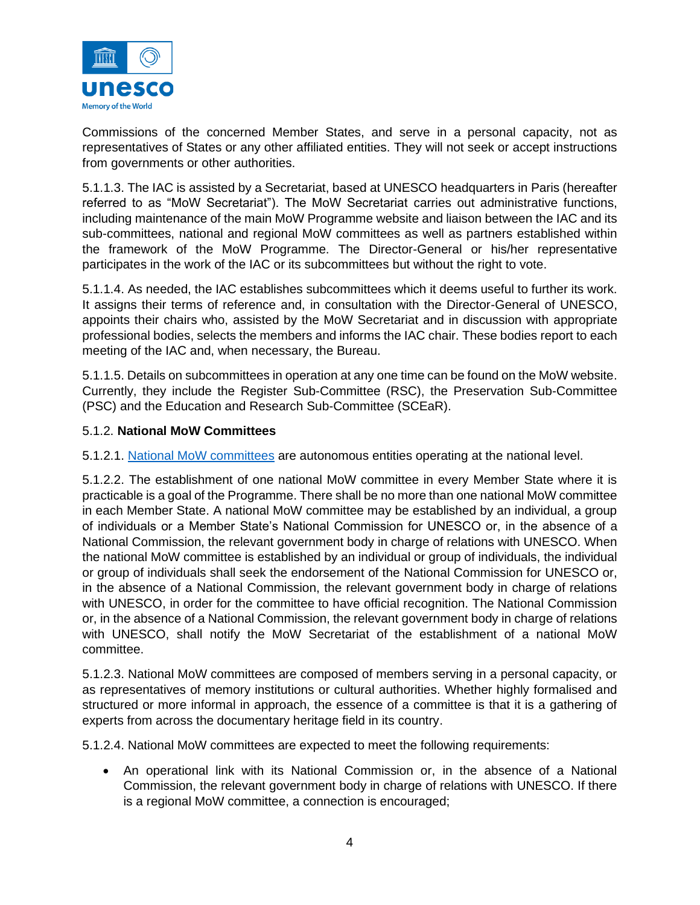

Commissions of the concerned Member States, and serve in a personal capacity, not as representatives of States or any other affiliated entities. They will not seek or accept instructions from governments or other authorities.

5.1.1.3. The IAC is assisted by a Secretariat, based at UNESCO headquarters in Paris (hereafter referred to as "MoW Secretariat"). The MoW Secretariat carries out administrative functions, including maintenance of the main MoW Programme website and liaison between the IAC and its sub-committees, national and regional MoW committees as well as partners established within the framework of the MoW Programme. The Director-General or his/her representative participates in the work of the IAC or its subcommittees but without the right to vote.

5.1.1.4. As needed, the IAC establishes subcommittees which it deems useful to further its work. It assigns their terms of reference and, in consultation with the Director-General of UNESCO, appoints their chairs who, assisted by the MoW Secretariat and in discussion with appropriate professional bodies, selects the members and informs the IAC chair. These bodies report to each meeting of the IAC and, when necessary, the Bureau.

5.1.1.5. Details on subcommittees in operation at any one time can be found on the MoW website. Currently, they include the Register Sub-Committee (RSC), the Preservation Sub-Committee (PSC) and the Education and Research Sub-Committee (SCEaR).

#### 5.1.2. **National MoW Committees**

5.1.2.1. [National MoW committees](https://en.unesco.org/programme/mow/national-committees) are autonomous entities operating at the national level.

5.1.2.2. The establishment of one national MoW committee in every Member State where it is practicable is a goal of the Programme. There shall be no more than one national MoW committee in each Member State. A national MoW committee may be established by an individual, a group of individuals or a Member State's National Commission for UNESCO or, in the absence of a National Commission, the relevant government body in charge of relations with UNESCO. When the national MoW committee is established by an individual or group of individuals, the individual or group of individuals shall seek the endorsement of the National Commission for UNESCO or, in the absence of a National Commission, the relevant government body in charge of relations with UNESCO, in order for the committee to have official recognition. The National Commission or, in the absence of a National Commission, the relevant government body in charge of relations with UNESCO, shall notify the MoW Secretariat of the establishment of a national MoW committee.

5.1.2.3. National MoW committees are composed of members serving in a personal capacity, or as representatives of memory institutions or cultural authorities. Whether highly formalised and structured or more informal in approach, the essence of a committee is that it is a gathering of experts from across the documentary heritage field in its country.

5.1.2.4. National MoW committees are expected to meet the following requirements:

• An operational link with its National Commission or, in the absence of a National Commission, the relevant government body in charge of relations with UNESCO. If there is a regional MoW committee, a connection is encouraged;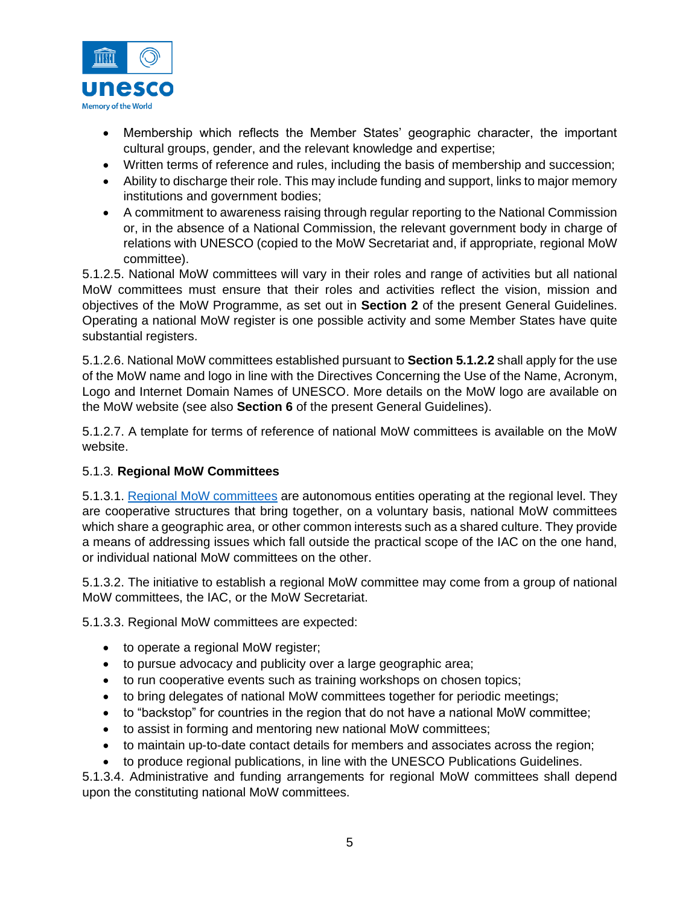

- Membership which reflects the Member States' geographic character, the important cultural groups, gender, and the relevant knowledge and expertise;
- Written terms of reference and rules, including the basis of membership and succession;
- Ability to discharge their role. This may include funding and support, links to major memory institutions and government bodies;
- A commitment to awareness raising through regular reporting to the National Commission or, in the absence of a National Commission, the relevant government body in charge of relations with UNESCO (copied to the MoW Secretariat and, if appropriate, regional MoW committee).

5.1.2.5. National MoW committees will vary in their roles and range of activities but all national MoW committees must ensure that their roles and activities reflect the vision, mission and objectives of the MoW Programme, as set out in **Section 2** of the present General Guidelines. Operating a national MoW register is one possible activity and some Member States have quite substantial registers.

5.1.2.6. National MoW committees established pursuant to **Section 5.1.2.2** shall apply for the use of the MoW name and logo in line with the Directives Concerning the Use of the Name, Acronym, Logo and Internet Domain Names of UNESCO. More details on the MoW logo are available on the MoW website (see also **Section 6** of the present General Guidelines).

5.1.2.7. A template for terms of reference of national MoW committees is available on the MoW website.

## 5.1.3. **Regional MoW Committees**

5.1.3.1. [Regional MoW committees](https://en.unesco.org/programme/mow/regional-committees) are autonomous entities operating at the regional level. They are cooperative structures that bring together, on a voluntary basis, national MoW committees which share a geographic area, or other common interests such as a shared culture. They provide a means of addressing issues which fall outside the practical scope of the IAC on the one hand, or individual national MoW committees on the other.

5.1.3.2. The initiative to establish a regional MoW committee may come from a group of national MoW committees, the IAC, or the MoW Secretariat.

5.1.3.3. Regional MoW committees are expected:

- to operate a regional MoW register;
- to pursue advocacy and publicity over a large geographic area;
- to run cooperative events such as training workshops on chosen topics;
- to bring delegates of national MoW committees together for periodic meetings;
- to "backstop" for countries in the region that do not have a national MoW committee;
- to assist in forming and mentoring new national MoW committees;
- to maintain up-to-date contact details for members and associates across the region;
- to produce regional publications, in line with the UNESCO Publications Guidelines.

5.1.3.4. Administrative and funding arrangements for regional MoW committees shall depend upon the constituting national MoW committees.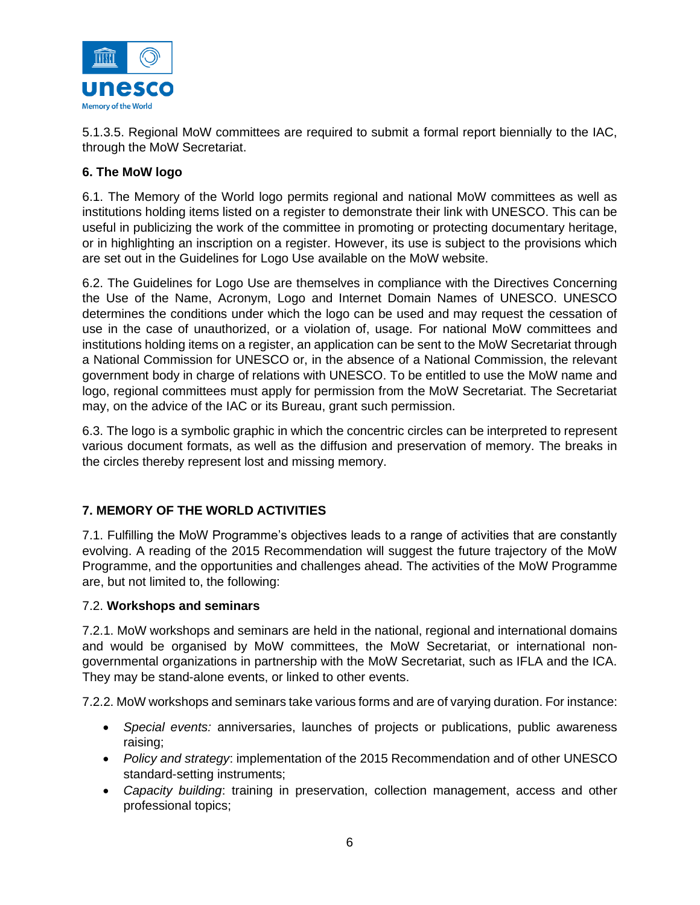

5.1.3.5. Regional MoW committees are required to submit a formal report biennially to the IAC, through the MoW Secretariat.

## **6. The MoW logo**

6.1. The Memory of the World logo permits regional and national MoW committees as well as institutions holding items listed on a register to demonstrate their link with UNESCO. This can be useful in publicizing the work of the committee in promoting or protecting documentary heritage, or in highlighting an inscription on a register. However, its use is subject to the provisions which are set out in the Guidelines for Logo Use available on the MoW website.

6.2. The Guidelines for Logo Use are themselves in compliance with the Directives Concerning the Use of the Name, Acronym, Logo and Internet Domain Names of UNESCO. UNESCO determines the conditions under which the logo can be used and may request the cessation of use in the case of unauthorized, or a violation of, usage. For national MoW committees and institutions holding items on a register, an application can be sent to the MoW Secretariat through a National Commission for UNESCO or, in the absence of a National Commission, the relevant government body in charge of relations with UNESCO. To be entitled to use the MoW name and logo, regional committees must apply for permission from the MoW Secretariat. The Secretariat may, on the advice of the IAC or its Bureau, grant such permission.

6.3. The logo is a symbolic graphic in which the concentric circles can be interpreted to represent various document formats, as well as the diffusion and preservation of memory. The breaks in the circles thereby represent lost and missing memory.

## **7. MEMORY OF THE WORLD ACTIVITIES**

7.1. Fulfilling the MoW Programme's objectives leads to a range of activities that are constantly evolving. A reading of the 2015 Recommendation will suggest the future trajectory of the MoW Programme, and the opportunities and challenges ahead. The activities of the MoW Programme are, but not limited to, the following:

#### 7.2. **Workshops and seminars**

7.2.1. MoW workshops and seminars are held in the national, regional and international domains and would be organised by MoW committees, the MoW Secretariat, or international nongovernmental organizations in partnership with the MoW Secretariat, such as IFLA and the ICA. They may be stand-alone events, or linked to other events.

7.2.2. MoW workshops and seminars take various forms and are of varying duration. For instance:

- *Special events:* anniversaries, launches of projects or publications, public awareness raising;
- *Policy and strategy*: implementation of the 2015 Recommendation and of other UNESCO standard-setting instruments;
- *Capacity building*: training in preservation, collection management, access and other professional topics;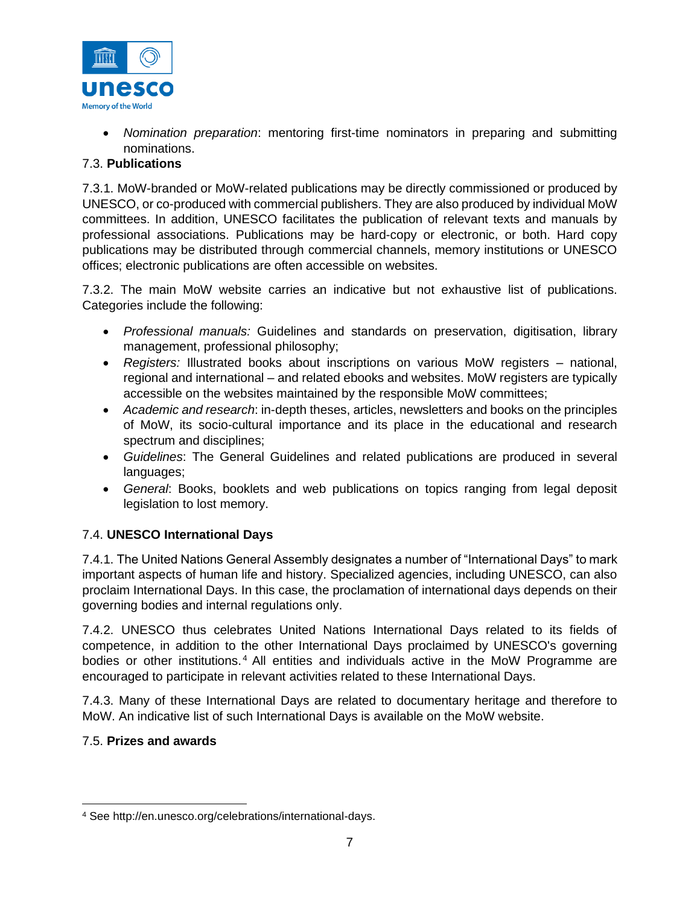

• *Nomination preparation*: mentoring first-time nominators in preparing and submitting nominations.

## 7.3. **Publications**

7.3.1. MoW-branded or MoW-related publications may be directly commissioned or produced by UNESCO, or co-produced with commercial publishers. They are also produced by individual MoW committees. In addition, UNESCO facilitates the publication of relevant texts and manuals by professional associations. Publications may be hard-copy or electronic, or both. Hard copy publications may be distributed through commercial channels, memory institutions or UNESCO offices; electronic publications are often accessible on websites.

7.3.2. The main MoW website carries an indicative but not exhaustive list of publications. Categories include the following:

- *Professional manuals:* Guidelines and standards on preservation, digitisation, library management, professional philosophy;
- *Registers:* Illustrated books about inscriptions on various MoW registers national, regional and international – and related ebooks and websites. MoW registers are typically accessible on the websites maintained by the responsible MoW committees;
- *Academic and research*: in-depth theses, articles, newsletters and books on the principles of MoW, its socio-cultural importance and its place in the educational and research spectrum and disciplines;
- *Guidelines*: The General Guidelines and related publications are produced in several languages;
- *General*: Books, booklets and web publications on topics ranging from legal deposit legislation to lost memory.

## 7.4. **UNESCO International Days**

7.4.1. The United Nations General Assembly designates a number of "International Days" to mark important aspects of human life and history. Specialized agencies, including UNESCO, can also proclaim International Days. In this case, the proclamation of international days depends on their governing bodies and internal regulations only.

7.4.2. UNESCO thus celebrates United Nations International Days related to its fields of competence, in addition to the other International Days proclaimed by UNESCO's governing bodies or other institutions.<sup>4</sup> All entities and individuals active in the MoW Programme are encouraged to participate in relevant activities related to these International Days.

7.4.3. Many of these International Days are related to documentary heritage and therefore to MoW. An indicative list of such International Days is available on the MoW website.

## 7.5. **Prizes and awards**

<sup>4</sup> See http://en.unesco.org/celebrations/international-days.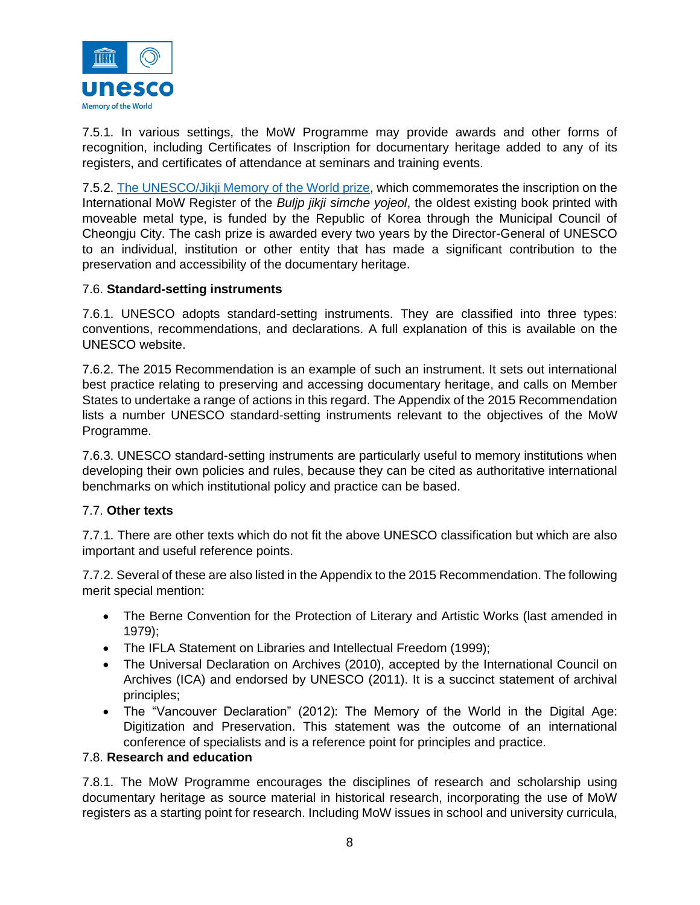

7.5.1. In various settings, the MoW Programme may provide awards and other forms of recognition, including Certificates of Inscription for documentary heritage added to any of its registers, and certificates of attendance at seminars and training events.

7.5.2. [The UNESCO/Jikji Memory of the World prize,](https://en.unesco.org/prizes/jikji-mow-prize) which commemorates the inscription on the International MoW Register of the *Buljp jikji simche yojeol*, the oldest existing book printed with moveable metal type, is funded by the Republic of Korea through the Municipal Council of Cheongju City. The cash prize is awarded every two years by the Director-General of UNESCO to an individual, institution or other entity that has made a significant contribution to the preservation and accessibility of the documentary heritage.

#### 7.6. **Standard-setting instruments**

7.6.1. UNESCO adopts standard-setting instruments. They are classified into three types: conventions, recommendations, and declarations. A full explanation of this is available on the UNESCO website.

7.6.2. The 2015 Recommendation is an example of such an instrument. It sets out international best practice relating to preserving and accessing documentary heritage, and calls on Member States to undertake a range of actions in this regard. The Appendix of the 2015 Recommendation lists a number UNESCO standard-setting instruments relevant to the objectives of the MoW Programme.

7.6.3. UNESCO standard-setting instruments are particularly useful to memory institutions when developing their own policies and rules, because they can be cited as authoritative international benchmarks on which institutional policy and practice can be based.

#### 7.7. **Other texts**

7.7.1. There are other texts which do not fit the above UNESCO classification but which are also important and useful reference points.

7.7.2. Several of these are also listed in the Appendix to the 2015 Recommendation. The following merit special mention:

- The Berne Convention for the Protection of Literary and Artistic Works (last amended in 1979);
- The IFLA Statement on Libraries and Intellectual Freedom (1999);
- The Universal Declaration on Archives (2010), accepted by the International Council on Archives (ICA) and endorsed by UNESCO (2011). It is a succinct statement of archival principles;
- The "Vancouver Declaration" (2012): The Memory of the World in the Digital Age: Digitization and Preservation. This statement was the outcome of an international conference of specialists and is a reference point for principles and practice.

#### 7.8. **Research and education**

7.8.1. The MoW Programme encourages the disciplines of research and scholarship using documentary heritage as source material in historical research, incorporating the use of MoW registers as a starting point for research. Including MoW issues in school and university curricula,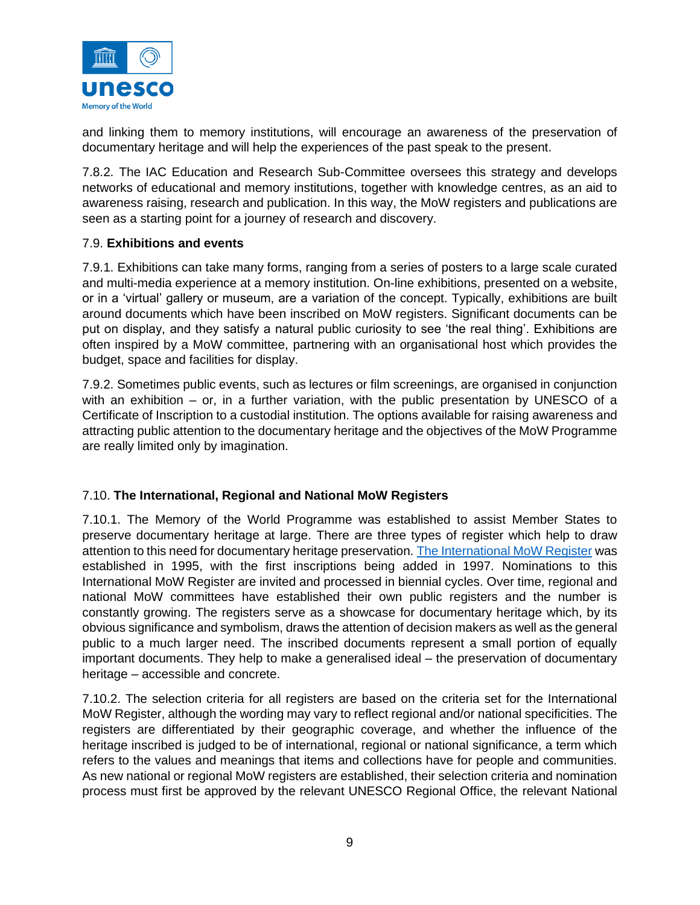

and linking them to memory institutions, will encourage an awareness of the preservation of documentary heritage and will help the experiences of the past speak to the present.

7.8.2. The IAC Education and Research Sub-Committee oversees this strategy and develops networks of educational and memory institutions, together with knowledge centres, as an aid to awareness raising, research and publication. In this way, the MoW registers and publications are seen as a starting point for a journey of research and discovery.

#### 7.9. **Exhibitions and events**

7.9.1. Exhibitions can take many forms, ranging from a series of posters to a large scale curated and multi-media experience at a memory institution. On-line exhibitions, presented on a website, or in a 'virtual' gallery or museum, are a variation of the concept. Typically, exhibitions are built around documents which have been inscribed on MoW registers. Significant documents can be put on display, and they satisfy a natural public curiosity to see 'the real thing'. Exhibitions are often inspired by a MoW committee, partnering with an organisational host which provides the budget, space and facilities for display.

7.9.2. Sometimes public events, such as lectures or film screenings, are organised in conjunction with an exhibition – or, in a further variation, with the public presentation by UNESCO of a Certificate of Inscription to a custodial institution. The options available for raising awareness and attracting public attention to the documentary heritage and the objectives of the MoW Programme are really limited only by imagination.

#### 7.10. **The International, Regional and National MoW Registers**

7.10.1. The Memory of the World Programme was established to assist Member States to preserve documentary heritage at large. There are three types of register which help to draw attention to this need for documentary heritage preservation. [The International MoW Register](https://en.unesco.org/programme/mow/register) was established in 1995, with the first inscriptions being added in 1997. Nominations to this International MoW Register are invited and processed in biennial cycles. Over time, regional and national MoW committees have established their own public registers and the number is constantly growing. The registers serve as a showcase for documentary heritage which, by its obvious significance and symbolism, draws the attention of decision makers as well as the general public to a much larger need. The inscribed documents represent a small portion of equally important documents. They help to make a generalised ideal – the preservation of documentary heritage – accessible and concrete.

7.10.2. The selection criteria for all registers are based on the criteria set for the International MoW Register, although the wording may vary to reflect regional and/or national specificities. The registers are differentiated by their geographic coverage, and whether the influence of the heritage inscribed is judged to be of international, regional or national significance, a term which refers to the values and meanings that items and collections have for people and communities. As new national or regional MoW registers are established, their selection criteria and nomination process must first be approved by the relevant UNESCO Regional Office, the relevant National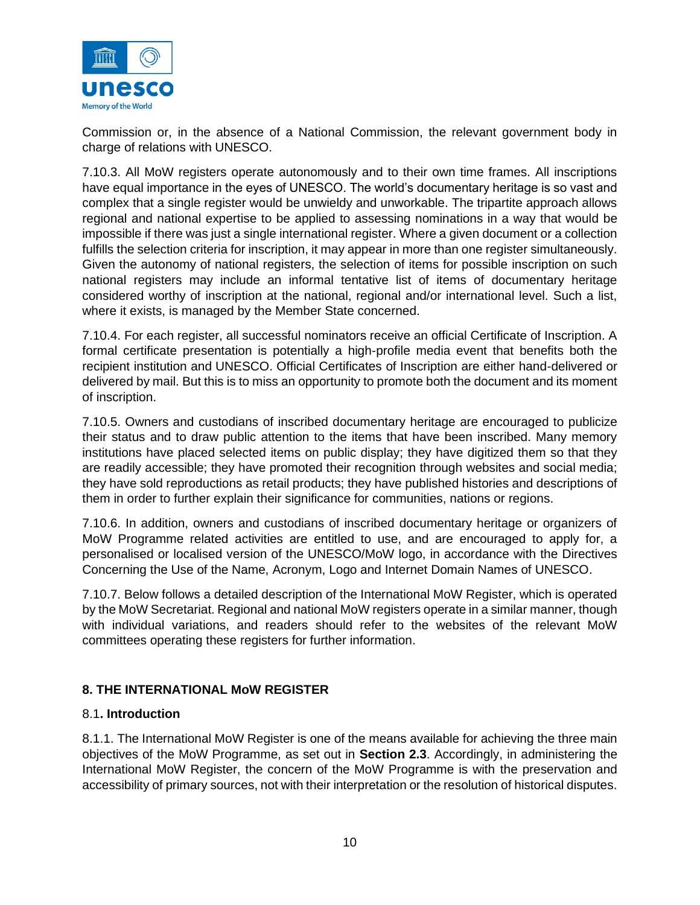

Commission or, in the absence of a National Commission, the relevant government body in charge of relations with UNESCO.

7.10.3. All MoW registers operate autonomously and to their own time frames. All inscriptions have equal importance in the eyes of UNESCO. The world's documentary heritage is so vast and complex that a single register would be unwieldy and unworkable. The tripartite approach allows regional and national expertise to be applied to assessing nominations in a way that would be impossible if there was just a single international register. Where a given document or a collection fulfills the selection criteria for inscription, it may appear in more than one register simultaneously. Given the autonomy of national registers, the selection of items for possible inscription on such national registers may include an informal tentative list of items of documentary heritage considered worthy of inscription at the national, regional and/or international level. Such a list, where it exists, is managed by the Member State concerned.

7.10.4. For each register, all successful nominators receive an official Certificate of Inscription. A formal certificate presentation is potentially a high-profile media event that benefits both the recipient institution and UNESCO. Official Certificates of Inscription are either hand-delivered or delivered by mail. But this is to miss an opportunity to promote both the document and its moment of inscription.

7.10.5. Owners and custodians of inscribed documentary heritage are encouraged to publicize their status and to draw public attention to the items that have been inscribed. Many memory institutions have placed selected items on public display; they have digitized them so that they are readily accessible; they have promoted their recognition through websites and social media; they have sold reproductions as retail products; they have published histories and descriptions of them in order to further explain their significance for communities, nations or regions.

7.10.6. In addition, owners and custodians of inscribed documentary heritage or organizers of MoW Programme related activities are entitled to use, and are encouraged to apply for, a personalised or localised version of the UNESCO/MoW logo, in accordance with the Directives Concerning the Use of the Name, Acronym, Logo and Internet Domain Names of UNESCO.

7.10.7. Below follows a detailed description of the International MoW Register, which is operated by the MoW Secretariat. Regional and national MoW registers operate in a similar manner, though with individual variations, and readers should refer to the websites of the relevant MoW committees operating these registers for further information.

## **8. THE INTERNATIONAL MoW REGISTER**

## 8.1**. Introduction**

8.1.1. The International MoW Register is one of the means available for achieving the three main objectives of the MoW Programme, as set out in **Section 2.3**. Accordingly, in administering the International MoW Register, the concern of the MoW Programme is with the preservation and accessibility of primary sources, not with their interpretation or the resolution of historical disputes.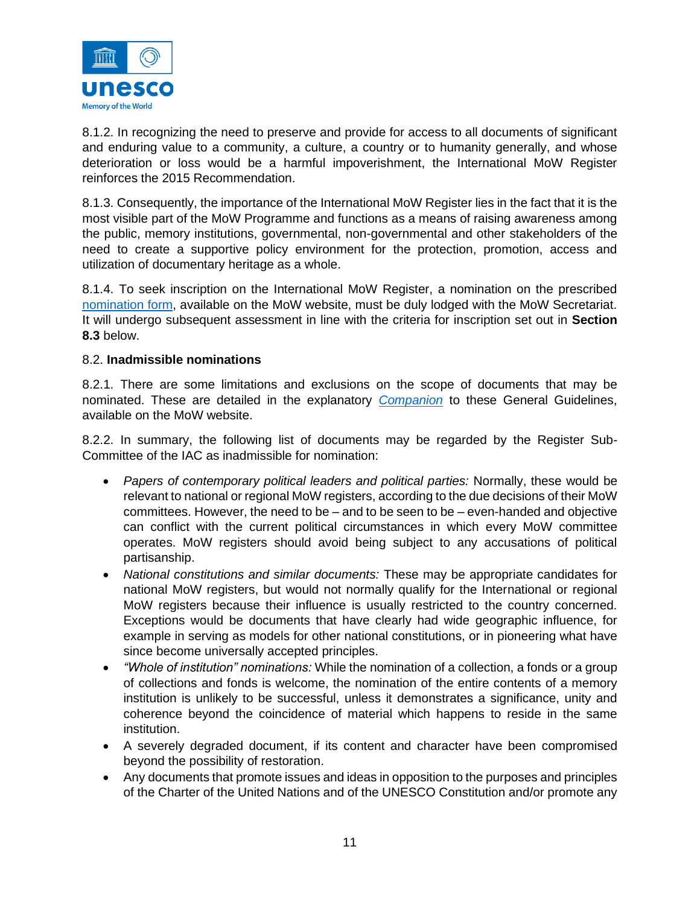

8.1.2. In recognizing the need to preserve and provide for access to all documents of significant and enduring value to a community, a culture, a country or to humanity generally, and whose deterioration or loss would be a harmful impoverishment, the International MoW Register reinforces the 2015 Recommendation.

8.1.3. Consequently, the importance of the International MoW Register lies in the fact that it is the most visible part of the MoW Programme and functions as a means of raising awareness among the public, memory institutions, governmental, non-governmental and other stakeholders of the need to create a supportive policy environment for the protection, promotion, access and utilization of documentary heritage as a whole.

8.1.4. To seek inscription on the International MoW Register, a nomination on the prescribed [nomination form,](https://en.unesco.org/sites/default/files/mow_register_nomination_form_en.pdf) available on the MoW website, must be duly lodged with the MoW Secretariat. It will undergo subsequent assessment in line with the criteria for inscription set out in **Section 8.3** below.

#### 8.2. **Inadmissible nominations**

8.2.1. There are some limitations and exclusions on the scope of documents that may be nominated. These are detailed in the explanatory *[Companion](https://en.unesco.org/sites/default/files/memory_of_the_world_register_companion_en.pdf)* to these General Guidelines, available on the MoW website.

8.2.2. In summary, the following list of documents may be regarded by the Register Sub-Committee of the IAC as inadmissible for nomination:

- *Papers of contemporary political leaders and political parties:* Normally, these would be relevant to national or regional MoW registers, according to the due decisions of their MoW committees. However, the need to be  $-$  and to be seen to be  $-$  even-handed and objective can conflict with the current political circumstances in which every MoW committee operates. MoW registers should avoid being subject to any accusations of political partisanship.
- *National constitutions and similar documents:* These may be appropriate candidates for national MoW registers, but would not normally qualify for the International or regional MoW registers because their influence is usually restricted to the country concerned. Exceptions would be documents that have clearly had wide geographic influence, for example in serving as models for other national constitutions, or in pioneering what have since become universally accepted principles.
- *"Whole of institution" nominations:* While the nomination of a collection, a fonds or a group of collections and fonds is welcome, the nomination of the entire contents of a memory institution is unlikely to be successful, unless it demonstrates a significance, unity and coherence beyond the coincidence of material which happens to reside in the same institution.
- A severely degraded document, if its content and character have been compromised beyond the possibility of restoration.
- Any documents that promote issues and ideas in opposition to the purposes and principles of the Charter of the United Nations and of the UNESCO Constitution and/or promote any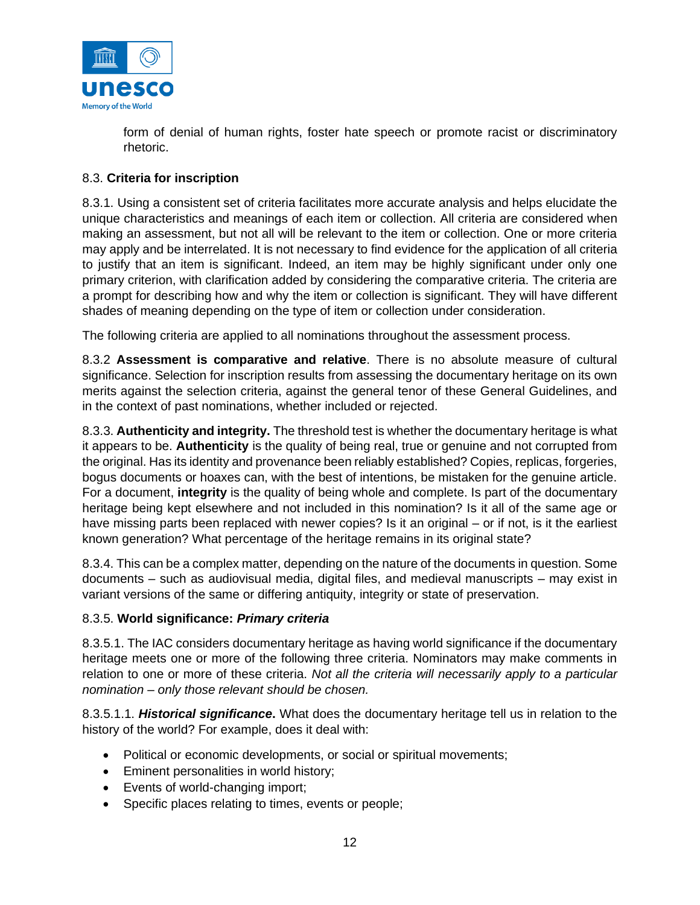

form of denial of human rights, foster hate speech or promote racist or discriminatory rhetoric.

### 8.3. **Criteria for inscription**

8.3.1. Using a consistent set of criteria facilitates more accurate analysis and helps elucidate the unique characteristics and meanings of each item or collection. All criteria are considered when making an assessment, but not all will be relevant to the item or collection. One or more criteria may apply and be interrelated. It is not necessary to find evidence for the application of all criteria to justify that an item is significant. Indeed, an item may be highly significant under only one primary criterion, with clarification added by considering the comparative criteria. The criteria are a prompt for describing how and why the item or collection is significant. They will have different shades of meaning depending on the type of item or collection under consideration.

The following criteria are applied to all nominations throughout the assessment process.

8.3.2 **Assessment is comparative and relative**. There is no absolute measure of cultural significance. Selection for inscription results from assessing the documentary heritage on its own merits against the selection criteria, against the general tenor of these General Guidelines, and in the context of past nominations, whether included or rejected.

8.3.3. **Authenticity and integrity.** The threshold test is whether the documentary heritage is what it appears to be. **Authenticity** is the quality of being real, true or genuine and not corrupted from the original. Has its identity and provenance been reliably established? Copies, replicas, forgeries, bogus documents or hoaxes can, with the best of intentions, be mistaken for the genuine article. For a document, **integrity** is the quality of being whole and complete. Is part of the documentary heritage being kept elsewhere and not included in this nomination? Is it all of the same age or have missing parts been replaced with newer copies? Is it an original – or if not, is it the earliest known generation? What percentage of the heritage remains in its original state?

8.3.4. This can be a complex matter, depending on the nature of the documents in question. Some documents – such as audiovisual media, digital files, and medieval manuscripts – may exist in variant versions of the same or differing antiquity, integrity or state of preservation.

#### 8.3.5. **World significance:** *Primary criteria*

8.3.5.1. The IAC considers documentary heritage as having world significance if the documentary heritage meets one or more of the following three criteria. Nominators may make comments in relation to one or more of these criteria. *Not all the criteria will necessarily apply to a particular nomination – only those relevant should be chosen.*

8.3.5.1.1. *Historical significance***.** What does the documentary heritage tell us in relation to the history of the world? For example, does it deal with:

- Political or economic developments, or social or spiritual movements;
- Eminent personalities in world history;
- Events of world-changing import;
- Specific places relating to times, events or people;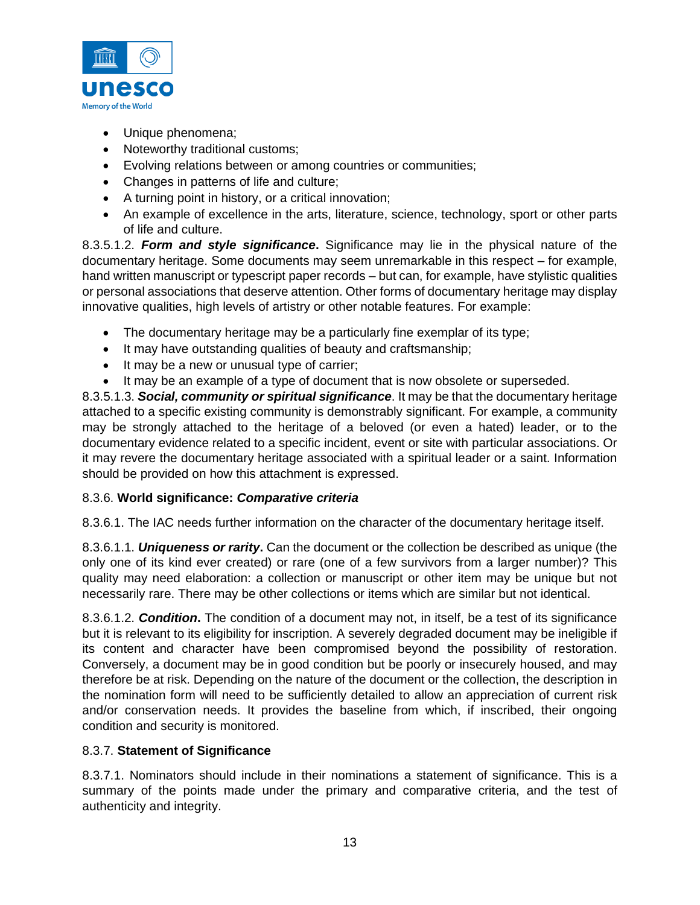

- Unique phenomena;
- Noteworthy traditional customs;
- Evolving relations between or among countries or communities;
- Changes in patterns of life and culture;
- A turning point in history, or a critical innovation;
- An example of excellence in the arts, literature, science, technology, sport or other parts of life and culture.

8.3.5.1.2. *Form and style significance***.** Significance may lie in the physical nature of the documentary heritage. Some documents may seem unremarkable in this respect – for example, hand written manuscript or typescript paper records – but can, for example, have stylistic qualities or personal associations that deserve attention. Other forms of documentary heritage may display innovative qualities, high levels of artistry or other notable features. For example:

- The documentary heritage may be a particularly fine exemplar of its type;
- It may have outstanding qualities of beauty and craftsmanship;
- It may be a new or unusual type of carrier;
- It may be an example of a type of document that is now obsolete or superseded.

8.3.5.1.3. *Social, community or spiritual significance*. It may be that the documentary heritage attached to a specific existing community is demonstrably significant. For example, a community may be strongly attached to the heritage of a beloved (or even a hated) leader, or to the documentary evidence related to a specific incident, event or site with particular associations. Or it may revere the documentary heritage associated with a spiritual leader or a saint. Information should be provided on how this attachment is expressed.

## 8.3.6. **World significance:** *Comparative criteria*

8.3.6.1. The IAC needs further information on the character of the documentary heritage itself.

8.3.6.1.1. *Uniqueness or rarity***.** Can the document or the collection be described as unique (the only one of its kind ever created) or rare (one of a few survivors from a larger number)? This quality may need elaboration: a collection or manuscript or other item may be unique but not necessarily rare. There may be other collections or items which are similar but not identical.

8.3.6.1.2. *Condition***.** The condition of a document may not, in itself, be a test of its significance but it is relevant to its eligibility for inscription. A severely degraded document may be ineligible if its content and character have been compromised beyond the possibility of restoration. Conversely, a document may be in good condition but be poorly or insecurely housed, and may therefore be at risk. Depending on the nature of the document or the collection, the description in the nomination form will need to be sufficiently detailed to allow an appreciation of current risk and/or conservation needs. It provides the baseline from which, if inscribed, their ongoing condition and security is monitored.

## 8.3.7. **Statement of Significance**

8.3.7.1. Nominators should include in their nominations a statement of significance. This is a summary of the points made under the primary and comparative criteria, and the test of authenticity and integrity.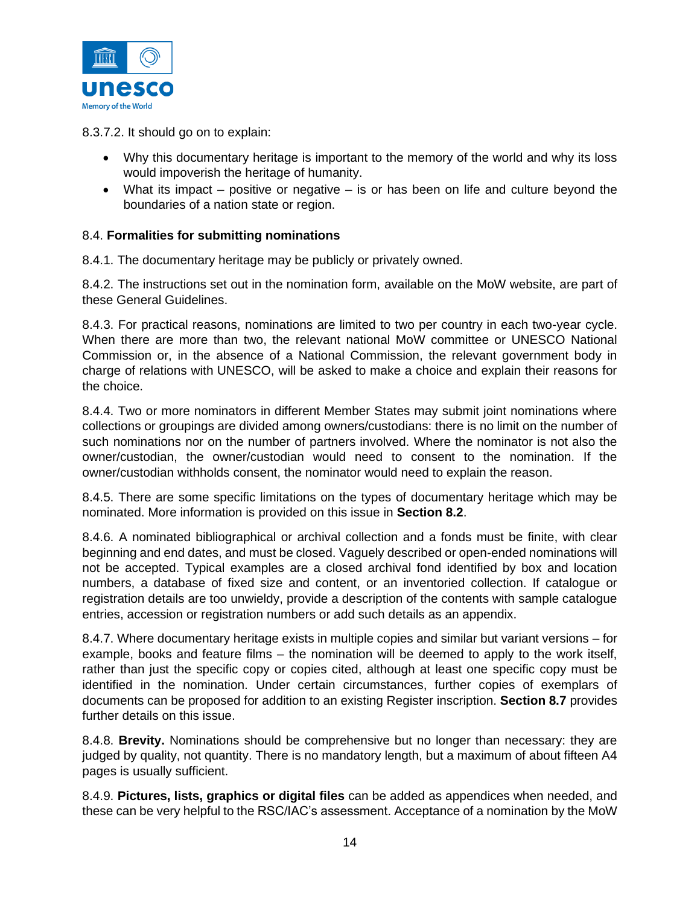

8.3.7.2. It should go on to explain:

- Why this documentary heritage is important to the memory of the world and why its loss would impoverish the heritage of humanity.
- What its impact positive or negative is or has been on life and culture beyond the boundaries of a nation state or region.

#### 8.4. **Formalities for submitting nominations**

8.4.1. The documentary heritage may be publicly or privately owned.

8.4.2. The instructions set out in the nomination form, available on the MoW website, are part of these General Guidelines.

8.4.3. For practical reasons, nominations are limited to two per country in each two-year cycle. When there are more than two, the relevant national MoW committee or UNESCO National Commission or, in the absence of a National Commission, the relevant government body in charge of relations with UNESCO, will be asked to make a choice and explain their reasons for the choice.

8.4.4. Two or more nominators in different Member States may submit joint nominations where collections or groupings are divided among owners/custodians: there is no limit on the number of such nominations nor on the number of partners involved. Where the nominator is not also the owner/custodian, the owner/custodian would need to consent to the nomination. If the owner/custodian withholds consent, the nominator would need to explain the reason.

8.4.5. There are some specific limitations on the types of documentary heritage which may be nominated. More information is provided on this issue in **Section 8.2**.

8.4.6. A nominated bibliographical or archival collection and a fonds must be finite, with clear beginning and end dates, and must be closed. Vaguely described or open-ended nominations will not be accepted. Typical examples are a closed archival fond identified by box and location numbers, a database of fixed size and content, or an inventoried collection. If catalogue or registration details are too unwieldy, provide a description of the contents with sample catalogue entries, accession or registration numbers or add such details as an appendix.

8.4.7. Where documentary heritage exists in multiple copies and similar but variant versions – for example, books and feature films – the nomination will be deemed to apply to the work itself, rather than just the specific copy or copies cited, although at least one specific copy must be identified in the nomination. Under certain circumstances, further copies of exemplars of documents can be proposed for addition to an existing Register inscription. **Section 8.7** provides further details on this issue.

8.4.8. **Brevity.** Nominations should be comprehensive but no longer than necessary: they are judged by quality, not quantity. There is no mandatory length, but a maximum of about fifteen A4 pages is usually sufficient.

8.4.9. **Pictures, lists, graphics or digital files** can be added as appendices when needed, and these can be very helpful to the RSC/IAC's assessment. Acceptance of a nomination by the MoW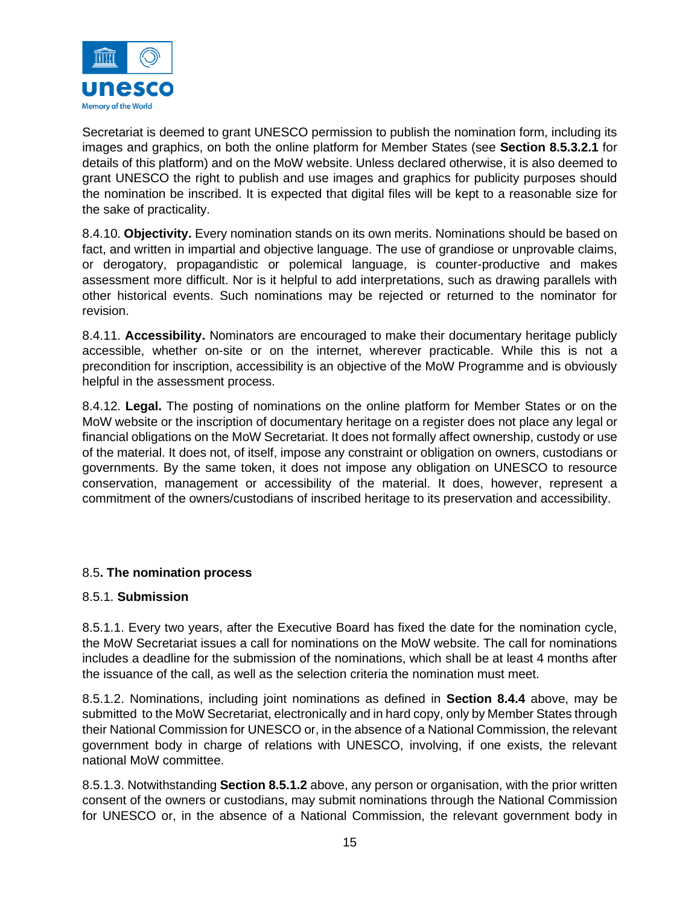

Secretariat is deemed to grant UNESCO permission to publish the nomination form, including its images and graphics, on both the online platform for Member States (see **Section 8.5.3.2.1** for details of this platform) and on the MoW website. Unless declared otherwise, it is also deemed to grant UNESCO the right to publish and use images and graphics for publicity purposes should the nomination be inscribed. It is expected that digital files will be kept to a reasonable size for the sake of practicality.

8.4.10. **Objectivity.** Every nomination stands on its own merits. Nominations should be based on fact, and written in impartial and objective language. The use of grandiose or unprovable claims, or derogatory, propagandistic or polemical language, is counter-productive and makes assessment more difficult. Nor is it helpful to add interpretations, such as drawing parallels with other historical events. Such nominations may be rejected or returned to the nominator for revision.

8.4.11. **Accessibility.** Nominators are encouraged to make their documentary heritage publicly accessible, whether on-site or on the internet, wherever practicable. While this is not a precondition for inscription, accessibility is an objective of the MoW Programme and is obviously helpful in the assessment process.

8.4.12. **Legal.** The posting of nominations on the online platform for Member States or on the MoW website or the inscription of documentary heritage on a register does not place any legal or financial obligations on the MoW Secretariat. It does not formally affect ownership, custody or use of the material. It does not, of itself, impose any constraint or obligation on owners, custodians or governments. By the same token, it does not impose any obligation on UNESCO to resource conservation, management or accessibility of the material. It does, however, represent a commitment of the owners/custodians of inscribed heritage to its preservation and accessibility.

## 8.5**. The nomination process**

#### 8.5.1. **Submission**

8.5.1.1. Every two years, after the Executive Board has fixed the date for the nomination cycle, the MoW Secretariat issues a call for nominations on the MoW website. The call for nominations includes a deadline for the submission of the nominations, which shall be at least 4 months after the issuance of the call, as well as the selection criteria the nomination must meet.

8.5.1.2. Nominations, including joint nominations as defined in **Section 8.4.4** above, may be submitted to the MoW Secretariat, electronically and in hard copy, only by Member States through their National Commission for UNESCO or, in the absence of a National Commission, the relevant government body in charge of relations with UNESCO, involving, if one exists, the relevant national MoW committee.

8.5.1.3. Notwithstanding **Section 8.5.1.2** above, any person or organisation, with the prior written consent of the owners or custodians, may submit nominations through the National Commission for UNESCO or, in the absence of a National Commission, the relevant government body in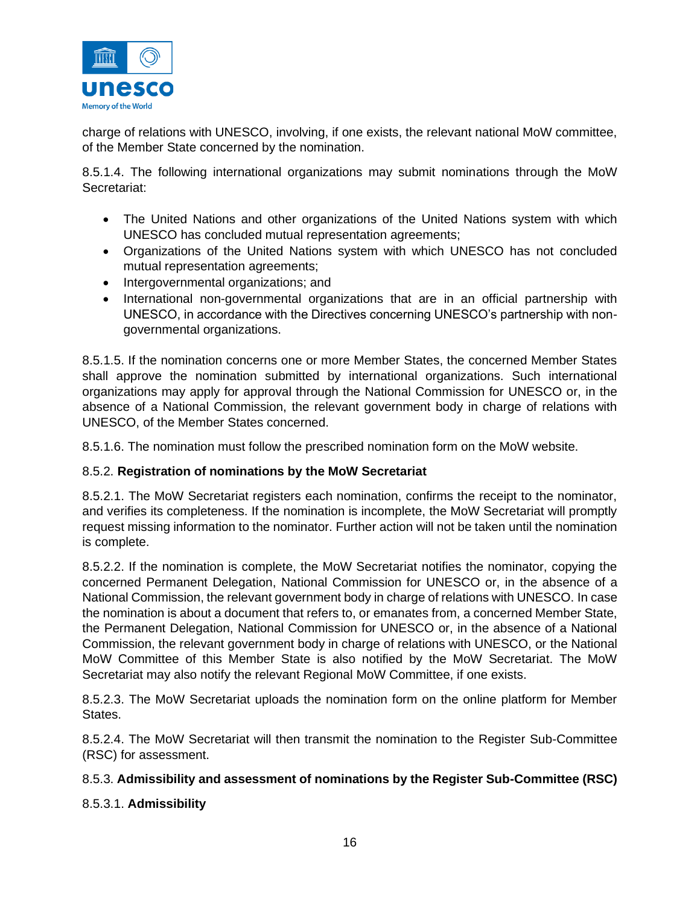

charge of relations with UNESCO, involving, if one exists, the relevant national MoW committee, of the Member State concerned by the nomination.

8.5.1.4. The following international organizations may submit nominations through the MoW Secretariat:

- The United Nations and other organizations of the United Nations system with which UNESCO has concluded mutual representation agreements;
- Organizations of the United Nations system with which UNESCO has not concluded mutual representation agreements;
- Intergovernmental organizations; and
- International non-governmental organizations that are in an official partnership with UNESCO, in accordance with the Directives concerning UNESCO's partnership with nongovernmental organizations.

8.5.1.5. If the nomination concerns one or more Member States, the concerned Member States shall approve the nomination submitted by international organizations. Such international organizations may apply for approval through the National Commission for UNESCO or, in the absence of a National Commission, the relevant government body in charge of relations with UNESCO, of the Member States concerned.

8.5.1.6. The nomination must follow the prescribed nomination form on the MoW website.

#### 8.5.2. **Registration of nominations by the MoW Secretariat**

8.5.2.1. The MoW Secretariat registers each nomination, confirms the receipt to the nominator, and verifies its completeness. If the nomination is incomplete, the MoW Secretariat will promptly request missing information to the nominator. Further action will not be taken until the nomination is complete.

8.5.2.2. If the nomination is complete, the MoW Secretariat notifies the nominator, copying the concerned Permanent Delegation, National Commission for UNESCO or, in the absence of a National Commission, the relevant government body in charge of relations with UNESCO. In case the nomination is about a document that refers to, or emanates from, a concerned Member State, the Permanent Delegation, National Commission for UNESCO or, in the absence of a National Commission, the relevant government body in charge of relations with UNESCO, or the National MoW Committee of this Member State is also notified by the MoW Secretariat. The MoW Secretariat may also notify the relevant Regional MoW Committee, if one exists.

8.5.2.3. The MoW Secretariat uploads the nomination form on the online platform for Member States.

8.5.2.4. The MoW Secretariat will then transmit the nomination to the Register Sub-Committee (RSC) for assessment.

## 8.5.3. **Admissibility and assessment of nominations by the Register Sub-Committee (RSC)**

#### 8.5.3.1. **Admissibility**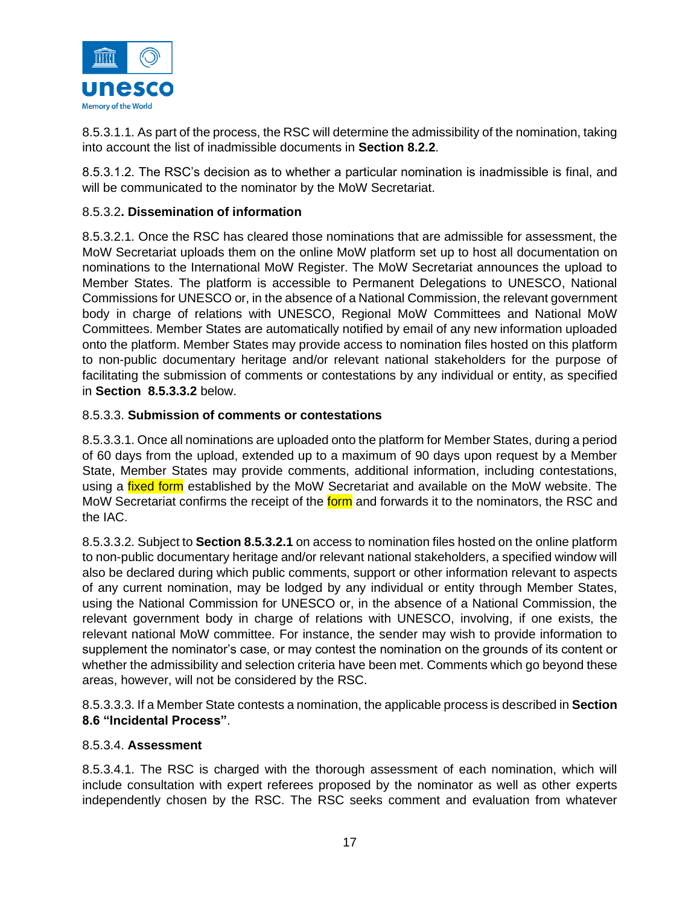

8.5.3.1.1. As part of the process, the RSC will determine the admissibility of the nomination, taking into account the list of inadmissible documents in **Section 8.2.2**.

8.5.3.1.2. The RSC's decision as to whether a particular nomination is inadmissible is final, and will be communicated to the nominator by the MoW Secretariat.

### 8.5.3.2**. Dissemination of information**

8.5.3.2.1. Once the RSC has cleared those nominations that are admissible for assessment, the MoW Secretariat uploads them on the online MoW platform set up to host all documentation on nominations to the International MoW Register. The MoW Secretariat announces the upload to Member States. The platform is accessible to Permanent Delegations to UNESCO, National Commissions for UNESCO or, in the absence of a National Commission, the relevant government body in charge of relations with UNESCO, Regional MoW Committees and National MoW Committees. Member States are automatically notified by email of any new information uploaded onto the platform. Member States may provide access to nomination files hosted on this platform to non-public documentary heritage and/or relevant national stakeholders for the purpose of facilitating the submission of comments or contestations by any individual or entity, as specified in **Section 8.5.3.3.2** below.

#### 8.5.3.3. **Submission of comments or contestations**

8.5.3.3.1. Once all nominations are uploaded onto the platform for Member States, during a period of 60 days from the upload, extended up to a maximum of 90 days upon request by a Member State, Member States may provide comments, additional information, including contestations, using a *fixed form* established by the MoW Secretariat and available on the MoW website. The MoW Secretariat confirms the receipt of the form and forwards it to the nominators, the RSC and the IAC.

8.5.3.3.2. Subject to **Section 8.5.3.2.1** on access to nomination files hosted on the online platform to non-public documentary heritage and/or relevant national stakeholders, a specified window will also be declared during which public comments, support or other information relevant to aspects of any current nomination, may be lodged by any individual or entity through Member States, using the National Commission for UNESCO or, in the absence of a National Commission, the relevant government body in charge of relations with UNESCO, involving, if one exists, the relevant national MoW committee. For instance, the sender may wish to provide information to supplement the nominator's case, or may contest the nomination on the grounds of its content or whether the admissibility and selection criteria have been met. Comments which go beyond these areas, however, will not be considered by the RSC.

8.5.3.3.3. If a Member State contests a nomination, the applicable process is described in **Section 8.6 "Incidental Process"**.

#### 8.5.3.4. **Assessment**

8.5.3.4.1. The RSC is charged with the thorough assessment of each nomination, which will include consultation with expert referees proposed by the nominator as well as other experts independently chosen by the RSC. The RSC seeks comment and evaluation from whatever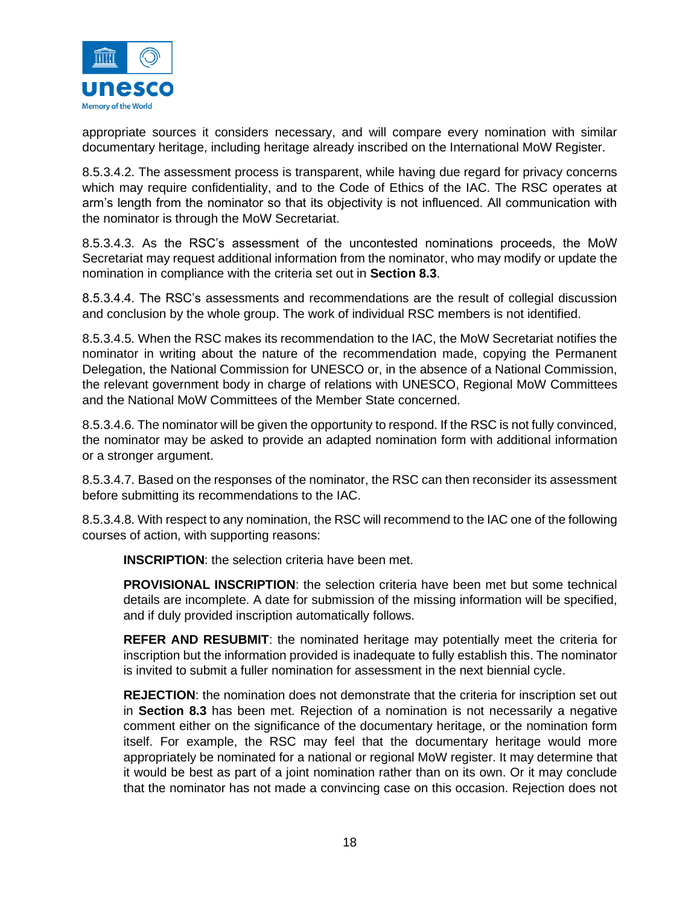

appropriate sources it considers necessary, and will compare every nomination with similar documentary heritage, including heritage already inscribed on the International MoW Register.

8.5.3.4.2. The assessment process is transparent, while having due regard for privacy concerns which may require confidentiality, and to the Code of Ethics of the IAC. The RSC operates at arm's length from the nominator so that its objectivity is not influenced. All communication with the nominator is through the MoW Secretariat.

8.5.3.4.3. As the RSC's assessment of the uncontested nominations proceeds, the MoW Secretariat may request additional information from the nominator, who may modify or update the nomination in compliance with the criteria set out in **Section 8.3**.

8.5.3.4.4. The RSC's assessments and recommendations are the result of collegial discussion and conclusion by the whole group. The work of individual RSC members is not identified.

8.5.3.4.5. When the RSC makes its recommendation to the IAC, the MoW Secretariat notifies the nominator in writing about the nature of the recommendation made, copying the Permanent Delegation, the National Commission for UNESCO or, in the absence of a National Commission, the relevant government body in charge of relations with UNESCO, Regional MoW Committees and the National MoW Committees of the Member State concerned.

8.5.3.4.6. The nominator will be given the opportunity to respond. If the RSC is not fully convinced, the nominator may be asked to provide an adapted nomination form with additional information or a stronger argument.

8.5.3.4.7. Based on the responses of the nominator, the RSC can then reconsider its assessment before submitting its recommendations to the IAC.

8.5.3.4.8. With respect to any nomination, the RSC will recommend to the IAC one of the following courses of action, with supporting reasons:

**INSCRIPTION**: the selection criteria have been met.

**PROVISIONAL INSCRIPTION**: the selection criteria have been met but some technical details are incomplete. A date for submission of the missing information will be specified, and if duly provided inscription automatically follows.

**REFER AND RESUBMIT**: the nominated heritage may potentially meet the criteria for inscription but the information provided is inadequate to fully establish this. The nominator is invited to submit a fuller nomination for assessment in the next biennial cycle.

**REJECTION**: the nomination does not demonstrate that the criteria for inscription set out in **Section 8.3** has been met. Rejection of a nomination is not necessarily a negative comment either on the significance of the documentary heritage, or the nomination form itself. For example, the RSC may feel that the documentary heritage would more appropriately be nominated for a national or regional MoW register. It may determine that it would be best as part of a joint nomination rather than on its own. Or it may conclude that the nominator has not made a convincing case on this occasion. Rejection does not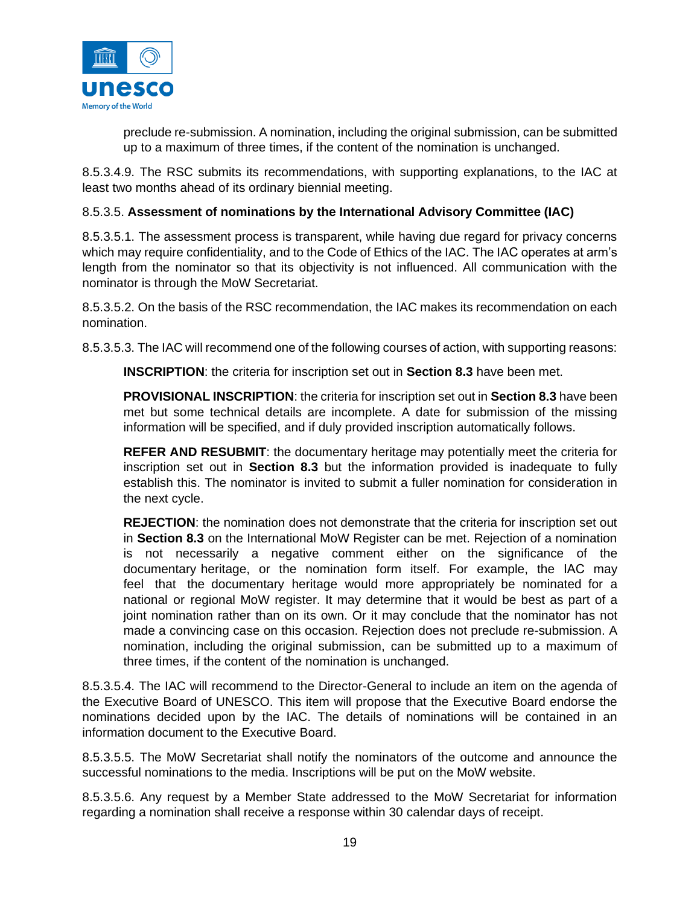

preclude re-submission. A nomination, including the original submission, can be submitted up to a maximum of three times, if the content of the nomination is unchanged.

8.5.3.4.9. The RSC submits its recommendations, with supporting explanations, to the IAC at least two months ahead of its ordinary biennial meeting.

#### 8.5.3.5. **Assessment of nominations by the International Advisory Committee (IAC)**

8.5.3.5.1. The assessment process is transparent, while having due regard for privacy concerns which may require confidentiality, and to the Code of Ethics of the IAC. The IAC operates at arm's length from the nominator so that its objectivity is not influenced. All communication with the nominator is through the MoW Secretariat.

8.5.3.5.2. On the basis of the RSC recommendation, the IAC makes its recommendation on each nomination.

8.5.3.5.3. The IAC will recommend one of the following courses of action, with supporting reasons:

**INSCRIPTION**: the criteria for inscription set out in **Section 8.3** have been met.

**PROVISIONAL INSCRIPTION**: the criteria for inscription set out in **Section 8.3** have been met but some technical details are incomplete. A date for submission of the missing information will be specified, and if duly provided inscription automatically follows.

**REFER AND RESUBMIT**: the documentary heritage may potentially meet the criteria for inscription set out in **Section 8.3** but the information provided is inadequate to fully establish this. The nominator is invited to submit a fuller nomination for consideration in the next cycle.

**REJECTION**: the nomination does not demonstrate that the criteria for inscription set out in **Section 8.3** on the International MoW Register can be met. Rejection of a nomination is not necessarily a negative comment either on the significance of the documentary heritage, or the nomination form itself. For example, the IAC may feel that the documentary heritage would more appropriately be nominated for a national or regional MoW register. It may determine that it would be best as part of a joint nomination rather than on its own. Or it may conclude that the nominator has not made a convincing case on this occasion. Rejection does not preclude re-submission. A nomination, including the original submission, can be submitted up to a maximum of three times, if the content of the nomination is unchanged.

8.5.3.5.4. The IAC will recommend to the Director-General to include an item on the agenda of the Executive Board of UNESCO. This item will propose that the Executive Board endorse the nominations decided upon by the IAC. The details of nominations will be contained in an information document to the Executive Board.

8.5.3.5.5. The MoW Secretariat shall notify the nominators of the outcome and announce the successful nominations to the media. Inscriptions will be put on the MoW website.

8.5.3.5.6. Any request by a Member State addressed to the MoW Secretariat for information regarding a nomination shall receive a response within 30 calendar days of receipt.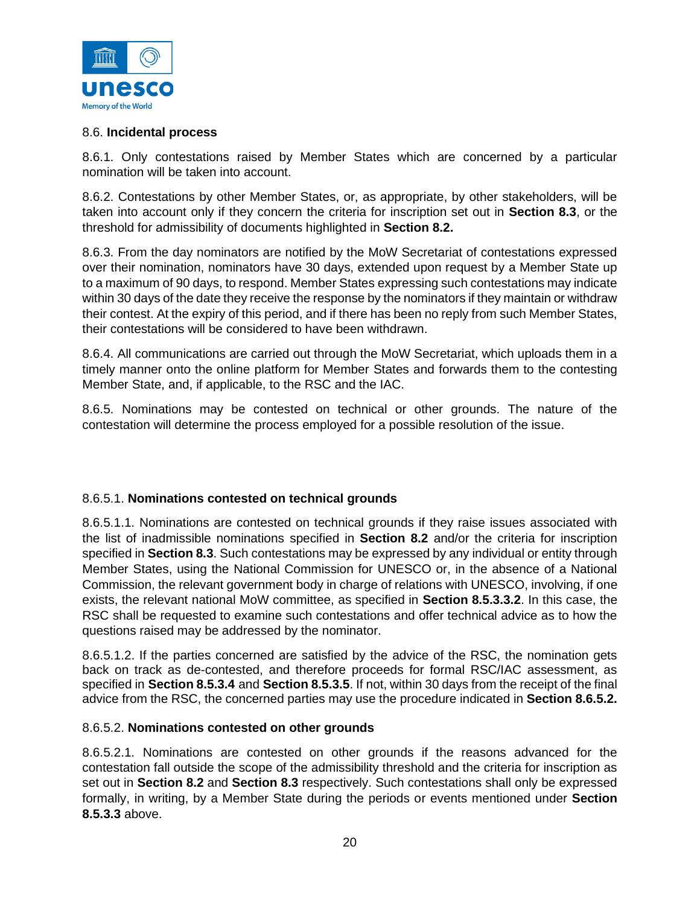

#### 8.6. **Incidental process**

8.6.1. Only contestations raised by Member States which are concerned by a particular nomination will be taken into account.

8.6.2. Contestations by other Member States, or, as appropriate, by other stakeholders, will be taken into account only if they concern the criteria for inscription set out in **Section 8.3**, or the threshold for admissibility of documents highlighted in **Section 8.2.**

8.6.3. From the day nominators are notified by the MoW Secretariat of contestations expressed over their nomination, nominators have 30 days, extended upon request by a Member State up to a maximum of 90 days, to respond. Member States expressing such contestations may indicate within 30 days of the date they receive the response by the nominators if they maintain or withdraw their contest. At the expiry of this period, and if there has been no reply from such Member States, their contestations will be considered to have been withdrawn.

8.6.4. All communications are carried out through the MoW Secretariat, which uploads them in a timely manner onto the online platform for Member States and forwards them to the contesting Member State, and, if applicable, to the RSC and the IAC.

8.6.5. Nominations may be contested on technical or other grounds. The nature of the contestation will determine the process employed for a possible resolution of the issue.

#### 8.6.5.1. **Nominations contested on technical grounds**

8.6.5.1.1. Nominations are contested on technical grounds if they raise issues associated with the list of inadmissible nominations specified in **Section 8.2** and/or the criteria for inscription specified in **Section 8.3**. Such contestations may be expressed by any individual or entity through Member States, using the National Commission for UNESCO or, in the absence of a National Commission, the relevant government body in charge of relations with UNESCO, involving, if one exists, the relevant national MoW committee, as specified in **Section 8.5.3.3.2**. In this case, the RSC shall be requested to examine such contestations and offer technical advice as to how the questions raised may be addressed by the nominator.

8.6.5.1.2. If the parties concerned are satisfied by the advice of the RSC, the nomination gets back on track as de-contested, and therefore proceeds for formal RSC/IAC assessment, as specified in **Section 8.5.3.4** and **Section 8.5.3.5**. If not, within 30 days from the receipt of the final advice from the RSC, the concerned parties may use the procedure indicated in **Section 8.6.5.2.**

#### 8.6.5.2. **Nominations contested on other grounds**

8.6.5.2.1. Nominations are contested on other grounds if the reasons advanced for the contestation fall outside the scope of the admissibility threshold and the criteria for inscription as set out in **Section 8.2** and **Section 8.3** respectively. Such contestations shall only be expressed formally, in writing, by a Member State during the periods or events mentioned under **Section 8.5.3.3** above.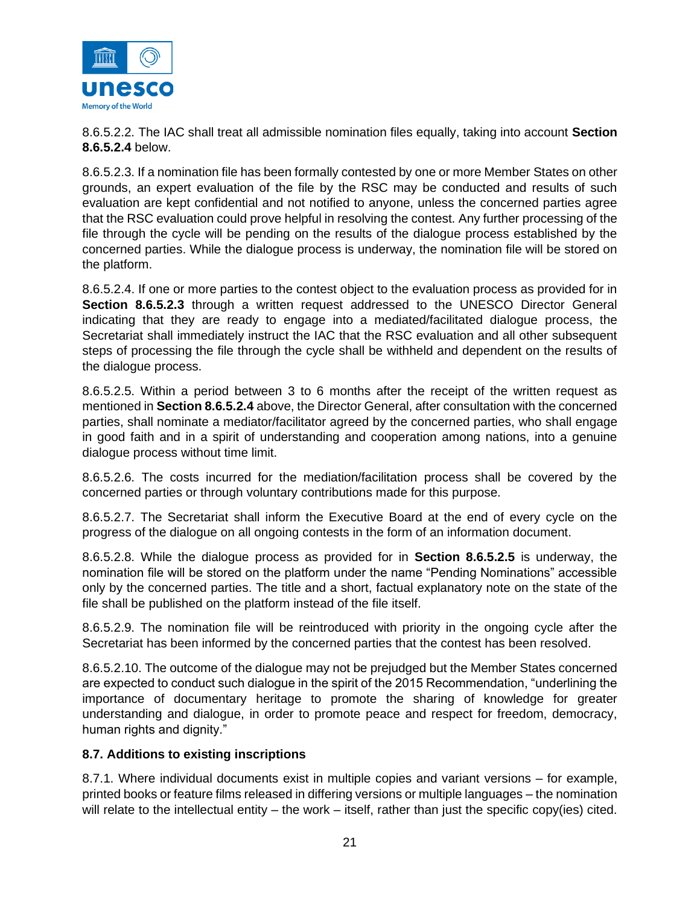

8.6.5.2.2. The IAC shall treat all admissible nomination files equally, taking into account **Section 8.6.5.2.4** below.

8.6.5.2.3. If a nomination file has been formally contested by one or more Member States on other grounds, an expert evaluation of the file by the RSC may be conducted and results of such evaluation are kept confidential and not notified to anyone, unless the concerned parties agree that the RSC evaluation could prove helpful in resolving the contest. Any further processing of the file through the cycle will be pending on the results of the dialogue process established by the concerned parties. While the dialogue process is underway, the nomination file will be stored on the platform.

8.6.5.2.4. If one or more parties to the contest object to the evaluation process as provided for in **Section 8.6.5.2.3** through a written request addressed to the UNESCO Director General indicating that they are ready to engage into a mediated/facilitated dialogue process, the Secretariat shall immediately instruct the IAC that the RSC evaluation and all other subsequent steps of processing the file through the cycle shall be withheld and dependent on the results of the dialogue process.

8.6.5.2.5. Within a period between 3 to 6 months after the receipt of the written request as mentioned in **Section 8.6.5.2.4** above, the Director General, after consultation with the concerned parties, shall nominate a mediator/facilitator agreed by the concerned parties, who shall engage in good faith and in a spirit of understanding and cooperation among nations, into a genuine dialogue process without time limit.

8.6.5.2.6. The costs incurred for the mediation/facilitation process shall be covered by the concerned parties or through voluntary contributions made for this purpose.

8.6.5.2.7. The Secretariat shall inform the Executive Board at the end of every cycle on the progress of the dialogue on all ongoing contests in the form of an information document.

8.6.5.2.8. While the dialogue process as provided for in **Section 8.6.5.2.5** is underway, the nomination file will be stored on the platform under the name "Pending Nominations" accessible only by the concerned parties. The title and a short, factual explanatory note on the state of the file shall be published on the platform instead of the file itself.

8.6.5.2.9. The nomination file will be reintroduced with priority in the ongoing cycle after the Secretariat has been informed by the concerned parties that the contest has been resolved.

8.6.5.2.10. The outcome of the dialogue may not be prejudged but the Member States concerned are expected to conduct such dialogue in the spirit of the 2015 Recommendation, "underlining the importance of documentary heritage to promote the sharing of knowledge for greater understanding and dialogue, in order to promote peace and respect for freedom, democracy, human rights and dignity."

## **8.7. Additions to existing inscriptions**

8.7.1. Where individual documents exist in multiple copies and variant versions – for example, printed books or feature films released in differing versions or multiple languages – the nomination will relate to the intellectual entity – the work – itself, rather than just the specific copy(ies) cited.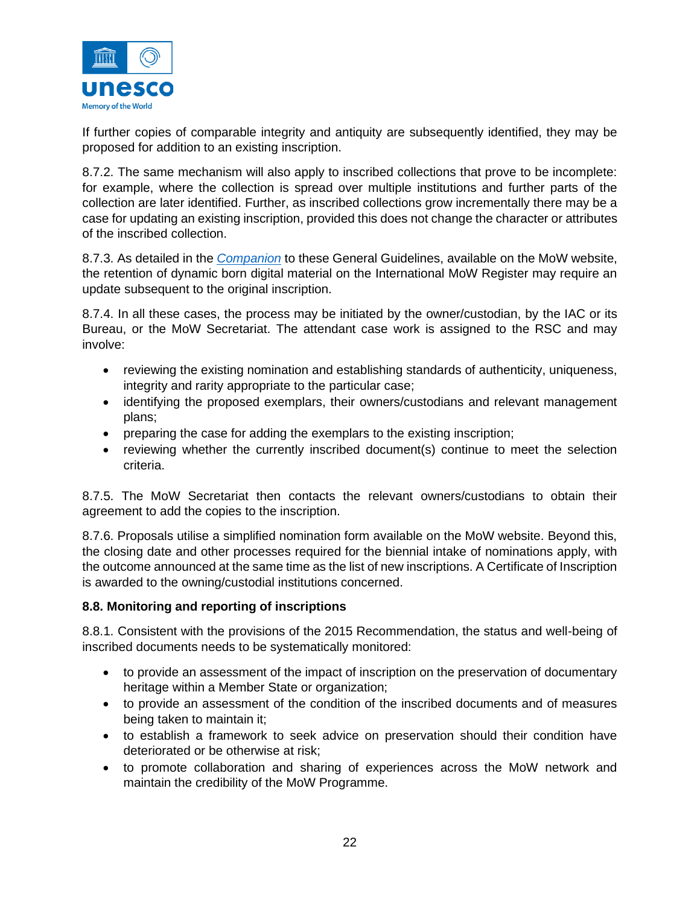

If further copies of comparable integrity and antiquity are subsequently identified, they may be proposed for addition to an existing inscription.

8.7.2. The same mechanism will also apply to inscribed collections that prove to be incomplete: for example, where the collection is spread over multiple institutions and further parts of the collection are later identified. Further, as inscribed collections grow incrementally there may be a case for updating an existing inscription, provided this does not change the character or attributes of the inscribed collection.

8.7.3. As detailed in the *[Companion](https://en.unesco.org/sites/default/files/memory_of_the_world_register_companion_en.pdf)* to these General Guidelines, available on the MoW website, the retention of dynamic born digital material on the International MoW Register may require an update subsequent to the original inscription.

8.7.4. In all these cases, the process may be initiated by the owner/custodian, by the IAC or its Bureau, or the MoW Secretariat. The attendant case work is assigned to the RSC and may involve:

- reviewing the existing nomination and establishing standards of authenticity, uniqueness, integrity and rarity appropriate to the particular case;
- identifying the proposed exemplars, their owners/custodians and relevant management plans;
- preparing the case for adding the exemplars to the existing inscription;
- reviewing whether the currently inscribed document(s) continue to meet the selection criteria.

8.7.5. The MoW Secretariat then contacts the relevant owners/custodians to obtain their agreement to add the copies to the inscription.

8.7.6. Proposals utilise a simplified nomination form available on the MoW website. Beyond this, the closing date and other processes required for the biennial intake of nominations apply, with the outcome announced at the same time as the list of new inscriptions. A Certificate of Inscription is awarded to the owning/custodial institutions concerned.

#### **8.8. Monitoring and reporting of inscriptions**

8.8.1. Consistent with the provisions of the 2015 Recommendation, the status and well-being of inscribed documents needs to be systematically monitored:

- to provide an assessment of the impact of inscription on the preservation of documentary heritage within a Member State or organization;
- to provide an assessment of the condition of the inscribed documents and of measures being taken to maintain it;
- to establish a framework to seek advice on preservation should their condition have deteriorated or be otherwise at risk;
- to promote collaboration and sharing of experiences across the MoW network and maintain the credibility of the MoW Programme.